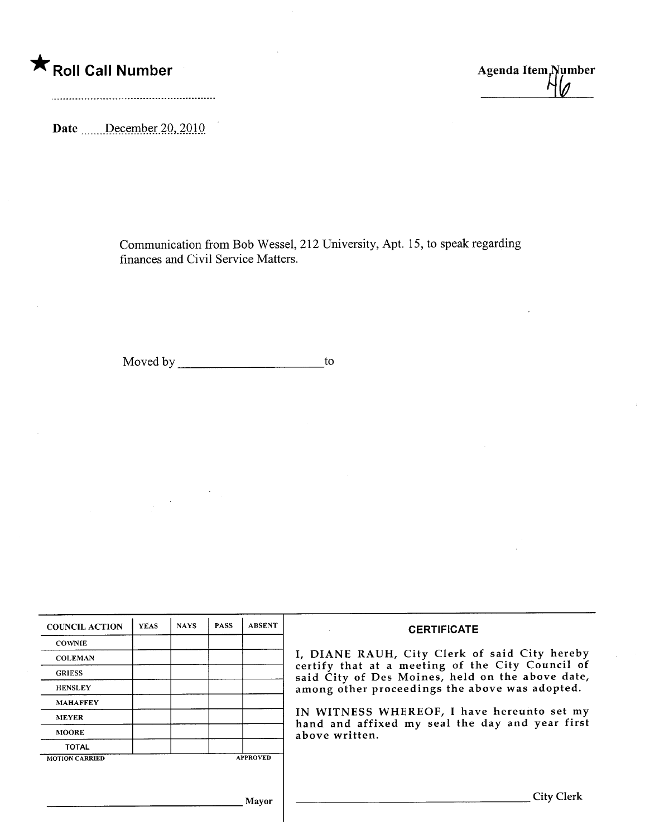# \* Roll Call Number Agenda Item<sub>/Number</sub>

Date December 20, 2010

Communication from Bob Wessel, 212 University, Apt. 15, to speak regarding finances and Civil Service Matters.

Moved by to

 $\bar{z}$ 

| <b>COUNCIL ACTION</b> | <b>YEAS</b> | <b>NAYS</b> | <b>PASS</b> | <b>ABSENT</b>   | <b>CERTIFICATE</b>                                                                                   |  |  |  |
|-----------------------|-------------|-------------|-------------|-----------------|------------------------------------------------------------------------------------------------------|--|--|--|
| <b>COWNIE</b>         |             |             |             |                 |                                                                                                      |  |  |  |
| <b>COLEMAN</b>        |             |             |             |                 | I, DIANE RAUH, City Clerk of said City hereby                                                        |  |  |  |
| <b>GRIESS</b>         |             |             |             |                 | certify that at a meeting of the City Council of<br>said City of Des Moines, held on the above date, |  |  |  |
| <b>HENSLEY</b>        |             |             |             |                 | among other proceedings the above was adopted.                                                       |  |  |  |
| <b>MAHAFFEY</b>       |             |             |             |                 |                                                                                                      |  |  |  |
| <b>MEYER</b>          |             |             |             |                 | IN WITNESS WHEREOF, I have hereunto set my<br>hand and affixed my seal the day and year first        |  |  |  |
| <b>MOORE</b>          |             |             |             |                 | above written.                                                                                       |  |  |  |
| TOTAL                 |             |             |             |                 |                                                                                                      |  |  |  |
| <b>MOTION CARRIED</b> |             |             |             | <b>APPROVED</b> |                                                                                                      |  |  |  |
|                       |             |             |             |                 |                                                                                                      |  |  |  |
|                       |             |             |             | Mavor           | <b>City Clerk</b>                                                                                    |  |  |  |